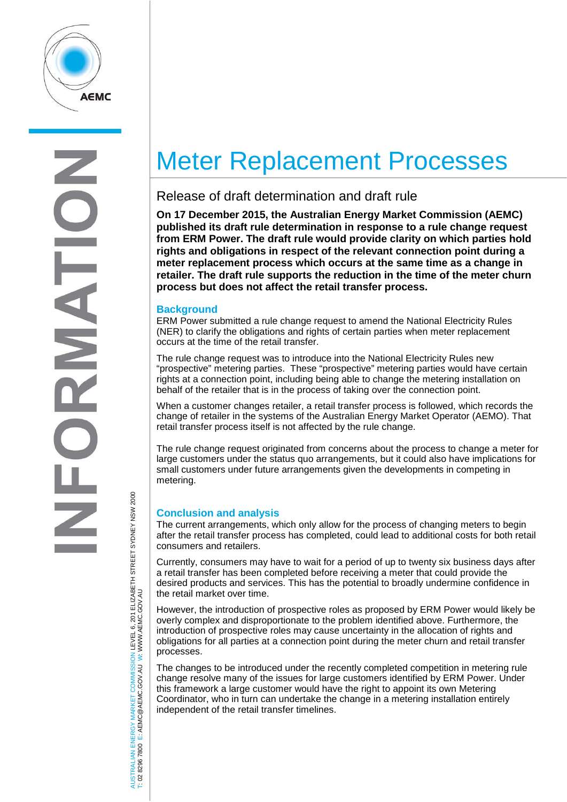

# Meter Replacement Processes

## Release of draft determination and draft rule

**On 17 December 2015, the Australian Energy Market Commission (AEMC) published its draft rule determination in response to a rule change request from ERM Power. The draft rule would provide clarity on which parties hold rights and obligations in respect of the relevant connection point during a meter replacement process which occurs at the same time as a change in retailer. The draft rule supports the reduction in the time of the meter churn process but does not affect the retail transfer process.**

## **Background**

ERM Power submitted a rule change request to amend the National Electricity Rules (NER) to clarify the obligations and rights of certain parties when meter replacement occurs at the time of the retail transfer.

The rule change request was to introduce into the National Electricity Rules new "prospective" metering parties. These "prospective" metering parties would have certain rights at a connection point, including being able to change the metering installation on behalf of the retailer that is in the process of taking over the connection point.

When a customer changes retailer, a retail transfer process is followed, which records the change of retailer in the systems of the Australian Energy Market Operator (AEMO). That retail transfer process itself is not affected by the rule change.

The rule change request originated from concerns about the process to change a meter for large customers under the status quo arrangements, but it could also have implications for small customers under future arrangements given the developments in competing in metering.

## **Conclusion and analysis**

The current arrangements, which only allow for the process of changing meters to begin after the retail transfer process has completed, could lead to additional costs for both retail consumers and retailers.

Currently, consumers may have to wait for a period of up to twenty six business days after a retail transfer has been completed before receiving a meter that could provide the desired products and services. This has the potential to broadly undermine confidence in the retail market over time.

However, the introduction of prospective roles as proposed by ERM Power would likely be overly complex and disproportionate to the problem identified above. Furthermore, the introduction of prospective roles may cause uncertainty in the allocation of rights and obligations for all parties at a connection point during the meter churn and retail transfer processes.

The changes to be introduced under the recently completed competition in metering rule change resolve many of the issues for large customers identified by ERM Power. Under this framework a large customer would have the right to appoint its own Metering Coordinator, who in turn can undertake the change in a metering installation entirely independent of the retail transfer timelines.

AUSTRALIAN ENERGY MARKET COMMISSION LEVEL 6, 201 ELIZABETH STREET SYDNEY NSW 2000 TRALIAN ENERGY MARKET COMMISSION LEVEL 6, 201 ELIZABETH STREET SYDNEY NSW 2000<br>8296 7800 E: AEMC@AEMC.GOV.AU W: WWW.AEMC.GOV.AU W: WWW.AEMC.GOV.AU T: 02 8296 7800 E: AEMC@AEMC.GOV.AU

**ISL** i si